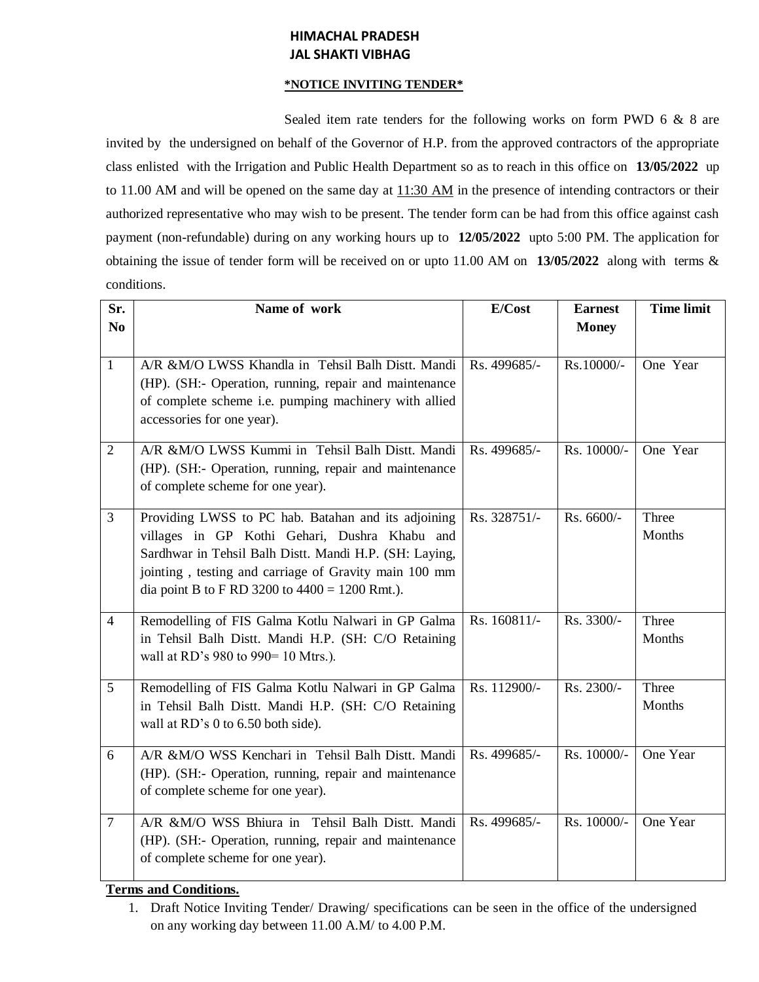## **HIMACHAL PRADESH JAL SHAKTI VIBHAG**

## **\*NOTICE INVITING TENDER\***

Sealed item rate tenders for the following works on form PWD 6 & 8 are invited by the undersigned on behalf of the Governor of H.P. from the approved contractors of the appropriate class enlisted with the Irrigation and Public Health Department so as to reach in this office on **13/05/2022** up to 11.00 AM and will be opened on the same day at  $11:30$  AM in the presence of intending contractors or their authorized representative who may wish to be present. The tender form can be had from this office against cash payment (non-refundable) during on any working hours up to **12/05/2022** upto 5:00 PM. The application for obtaining the issue of tender form will be received on or upto 11.00 AM on **13/05/2022** along with terms & conditions.

| Sr.<br>N <sub>0</sub> | Name of work                                                                                                                                                                                                                                                                | E/Cost       | <b>Earnest</b><br><b>Money</b> | <b>Time limit</b> |
|-----------------------|-----------------------------------------------------------------------------------------------------------------------------------------------------------------------------------------------------------------------------------------------------------------------------|--------------|--------------------------------|-------------------|
| $\mathbf{1}$          | A/R &M/O LWSS Khandla in Tehsil Balh Distt. Mandi<br>(HP). (SH:- Operation, running, repair and maintenance<br>of complete scheme i.e. pumping machinery with allied<br>accessories for one year).                                                                          | Rs. 499685/- | Rs.10000/-                     | One Year          |
| $\overline{2}$        | A/R &M/O LWSS Kummi in Tehsil Balh Distt. Mandi<br>(HP). (SH:- Operation, running, repair and maintenance<br>of complete scheme for one year).                                                                                                                              | Rs. 499685/- | Rs. 10000/-                    | One Year          |
| $\overline{3}$        | Providing LWSS to PC hab. Batahan and its adjoining<br>villages in GP Kothi Gehari, Dushra Khabu and<br>Sardhwar in Tehsil Balh Distt. Mandi H.P. (SH: Laying,<br>jointing, testing and carriage of Gravity main 100 mm<br>dia point B to F RD 3200 to $4400 = 1200$ Rmt.). | Rs. 328751/- | Rs. 6600/-                     | Three<br>Months   |
| $\overline{4}$        | Remodelling of FIS Galma Kotlu Nalwari in GP Galma<br>in Tehsil Balh Distt. Mandi H.P. (SH: C/O Retaining<br>wall at RD's 980 to 990= 10 Mtrs.).                                                                                                                            | Rs. 160811/- | Rs. 3300/-                     | Three<br>Months   |
| 5                     | Remodelling of FIS Galma Kotlu Nalwari in GP Galma<br>in Tehsil Balh Distt. Mandi H.P. (SH: C/O Retaining<br>wall at RD's 0 to 6.50 both side).                                                                                                                             | Rs. 112900/- | Rs. 2300/-                     | Three<br>Months   |
| 6                     | A/R &M/O WSS Kenchari in Tehsil Balh Distt. Mandi<br>(HP). (SH:- Operation, running, repair and maintenance<br>of complete scheme for one year).                                                                                                                            | Rs. 499685/- | Rs. 10000/-                    | One Year          |
| $\overline{7}$        | A/R &M/O WSS Bhiura in Tehsil Balh Distt. Mandi<br>(HP). (SH:- Operation, running, repair and maintenance<br>of complete scheme for one year).                                                                                                                              | Rs. 499685/- | Rs. 10000/-                    | One Year          |

## **Terms and Conditions.**

1. Draft Notice Inviting Tender/ Drawing/ specifications can be seen in the office of the undersigned on any working day between 11.00 A.M/ to 4.00 P.M.